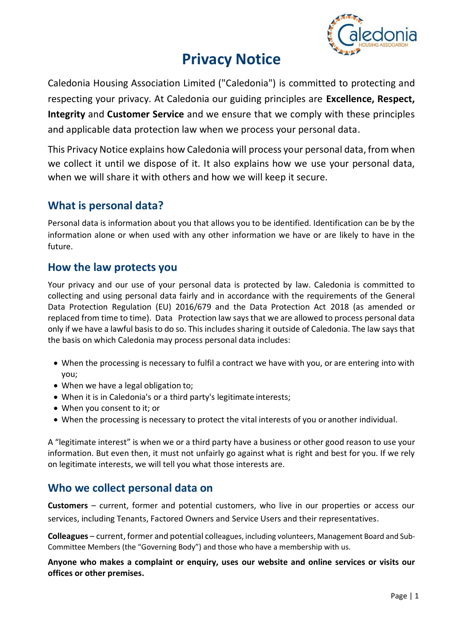

# **Privacy Notice**

Caledonia Housing Association Limited ("Caledonia") is committed to protecting and respecting your privacy. At Caledonia our guiding principles are **Excellence, Respect, Integrity** and **Customer Service** and we ensure that we comply with these principles and applicable data protection law when we process your personal data.

This Privacy Notice explains how Caledonia will process your personal data, from when we collect it until we dispose of it. It also explains how we use your personal data, when we will share it with others and how we will keep it secure.

# **What is personal data?**

Personal data is information about you that allows you to be identified. Identification can be by the information alone or when used with any other information we have or are likely to have in the future.

# **How the law protects you**

Your privacy and our use of your personal data is protected by law. Caledonia is committed to collecting and using personal data fairly and in accordance with the requirements of the General Data Protection Regulation (EU) 2016/679 and the Data Protection Act 2018 (as amended or replaced from time to time). Data Protection law says that we are allowed to process personal data only if we have a lawful basis to do so. This includes sharing it outside of Caledonia. The law says that the basis on which Caledonia may process personal data includes:

- When the processing is necessary to fulfil a contract we have with you, or are entering into with you;
- When we have a legal obligation to;
- When it is in Caledonia's or a third party's legitimate interests;
- When you consent to it; or
- When the processing is necessary to protect the vital interests of you or another individual.

A "legitimate interest" is when we or a third party have a business or other good reason to use your information. But even then, it must not unfairly go against what is right and best for you. If we rely on legitimate interests, we will tell you what those interests are.

# **Who we collect personal data on**

**Customers** – current, former and potential customers, who live in our properties or access our services, including Tenants, Factored Owners and Service Users and their representatives.

**Colleagues** – current, former and potential colleagues, including volunteers, Management Board and Sub-Committee Members (the "Governing Body") and those who have a membership with us.

**Anyone who makes a complaint or enquiry, uses our website and online services or visits our offices or other premises.**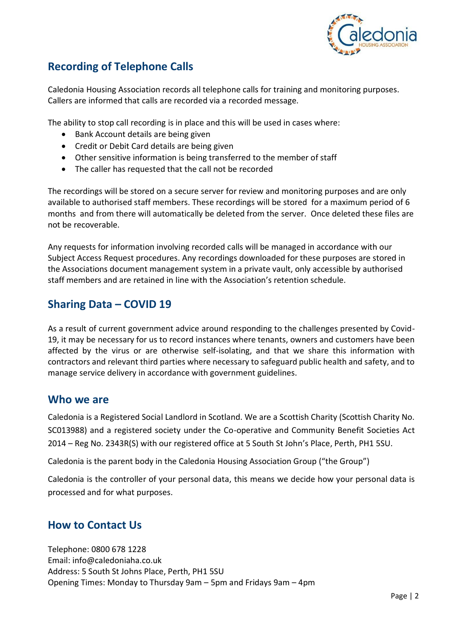

# **Recording of Telephone Calls**

Caledonia Housing Association records all telephone calls for training and monitoring purposes. Callers are informed that calls are recorded via a recorded message.

The ability to stop call recording is in place and this will be used in cases where:

- Bank Account details are being given
- Credit or Debit Card details are being given
- Other sensitive information is being transferred to the member of staff
- The caller has requested that the call not be recorded

The recordings will be stored on a secure server for review and monitoring purposes and are only available to authorised staff members. These recordings will be stored for a maximum period of 6 months and from there will automatically be deleted from the server. Once deleted these files are not be recoverable.

Any requests for information involving recorded calls will be managed in accordance with our Subject Access Request procedures. Any recordings downloaded for these purposes are stored in the Associations document management system in a private vault, only accessible by authorised staff members and are retained in line with the Association's retention schedule.

# **Sharing Data – COVID 19**

As a result of current government advice around responding to the challenges presented by Covid-19, it may be necessary for us to record instances where tenants, owners and customers have been affected by the virus or are otherwise self-isolating, and that we share this information with contractors and relevant third parties where necessary to safeguard public health and safety, and to manage service delivery in accordance with government guidelines.

## **Who we are**

Caledonia is a Registered Social Landlord in Scotland. We are a Scottish Charity (Scottish Charity No. SC013988) and a registered society under the Co-operative and Community Benefit Societies Act 2014 – Reg No. 2343R(S) with our registered office at 5 South St John's Place, Perth, PH1 5SU.

Caledonia is the parent body in the Caledonia Housing Association Group ("the Group")

Caledonia is the controller of your personal data, this means we decide how your personal data is processed and for what purposes.

# **How to Contact Us**

Telephone: 0800 678 1228 Email: [info@caledoniaha.co.uk](mailto:info@caledoniaha.co.uk) Address: 5 South St Johns Place, Perth, PH1 5SU Opening Times: Monday to Thursday 9am – 5pm and Fridays 9am – 4pm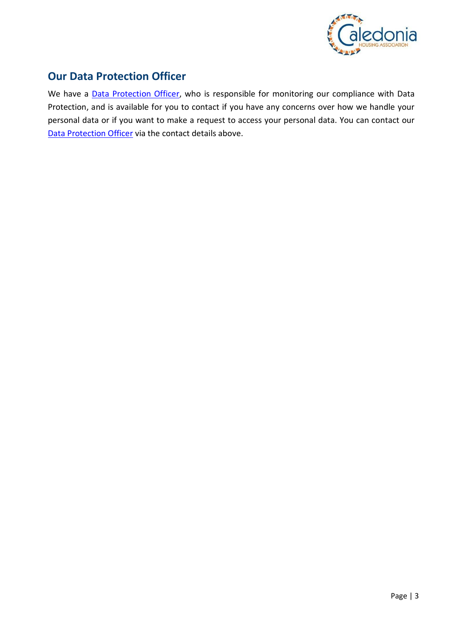

# **Our Data Protection Officer**

We have a **Data Protection Officer**, who is responsible for monitoring our compliance with Data Protection, and is available for you to contact if you have any concerns over how we handle your personal data or if you want to make a request to access your personal data. You can contact our [Data Protection Officer](mailto:CaledoniaDPO@caledoniaha.co.uk) via the contact details above.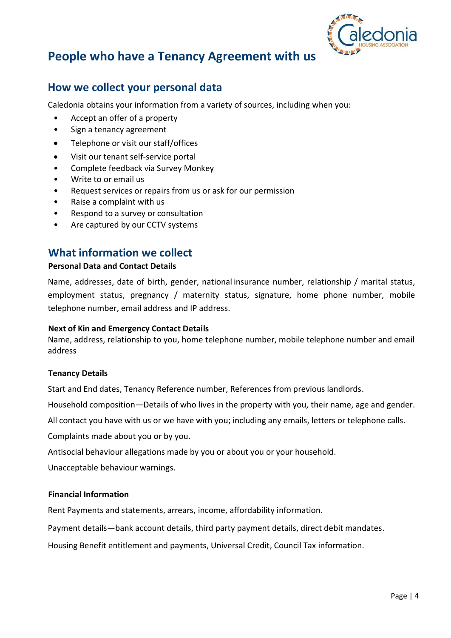

# **People who have a Tenancy Agreement with us**

# **How we collect your personal data**

Caledonia obtains your information from a variety of sources, including when you:

- Accept an offer of a property
- Sign a tenancy agreement
- Telephone or visit our staff/offices
- Visit our tenant self-service portal
- Complete feedback via Survey Monkey
- Write to or email us
- Request services or repairs from us or ask for our permission
- Raise a complaint with us
- Respond to a survey or consultation
- Are captured by our CCTV systems

# **What information we collect**

## **Personal Data and Contact Details**

Name, addresses, date of birth, gender, national insurance number, relationship / marital status, employment status, pregnancy / maternity status, signature, home phone number, mobile telephone number, email address and IP address.

### **Next of Kin and Emergency Contact Details**

Name, address, relationship to you, home telephone number, mobile telephone number and email address

### **Tenancy Details**

Start and End dates, Tenancy Reference number, References from previous landlords.

Household composition—Details of who lives in the property with you, their name, age and gender.

All contact you have with us or we have with you; including any emails, letters or telephone calls.

Complaints made about you or by you.

Antisocial behaviour allegations made by you or about you or your household.

Unacceptable behaviour warnings.

## **Financial Information**

Rent Payments and statements, arrears, income, affordability information.

Payment details—bank account details, third party payment details, direct debit mandates.

Housing Benefit entitlement and payments, Universal Credit, Council Tax information.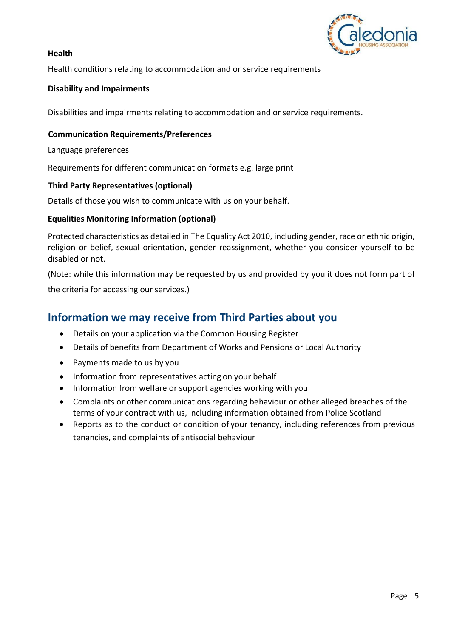

## **Health**

Health conditions relating to accommodation and or service requirements

## **Disability and Impairments**

Disabilities and impairments relating to accommodation and or service requirements.

### **Communication Requirements/Preferences**

Language preferences

Requirements for different communication formats e.g. large print

## **Third Party Representatives (optional)**

Details of those you wish to communicate with us on your behalf.

## **Equalities Monitoring Information (optional)**

Protected characteristics as detailed in The Equality Act 2010, including gender, race or ethnic origin, religion or belief, sexual orientation, gender reassignment, whether you consider yourself to be disabled or not.

(Note: while this information may be requested by us and provided by you it does not form part of the criteria for accessing our services.)

## **Information we may receive from Third Parties about you**

- Details on your application via the Common Housing Register
- Details of benefits from Department of Works and Pensions or Local Authority
- Payments made to us by you
- Information from representatives acting on your behalf
- Information from welfare or support agencies working with you
- Complaints or other communications regarding behaviour or other alleged breaches of the terms of your contract with us, including information obtained from Police Scotland
- Reports as to the conduct or condition of your tenancy, including references from previous tenancies, and complaints of antisocial behaviour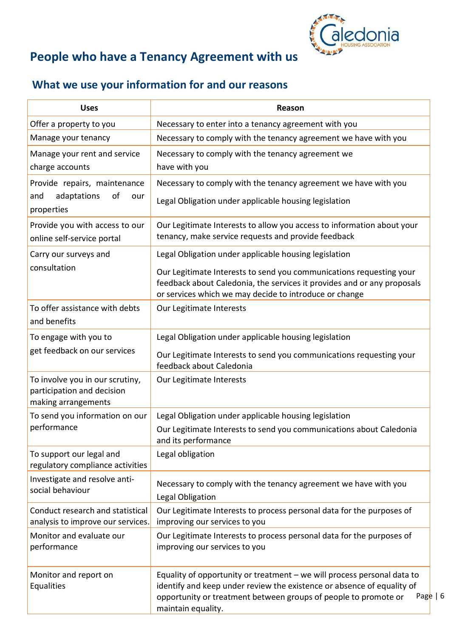

# **People who have a Tenancy Agreement with us**

# **What we use your information for and our reasons**

| <b>Uses</b>                                                                          | Reason                                                                                                                                                                                                                                                            |
|--------------------------------------------------------------------------------------|-------------------------------------------------------------------------------------------------------------------------------------------------------------------------------------------------------------------------------------------------------------------|
| Offer a property to you                                                              | Necessary to enter into a tenancy agreement with you                                                                                                                                                                                                              |
| Manage your tenancy                                                                  | Necessary to comply with the tenancy agreement we have with you                                                                                                                                                                                                   |
| Manage your rent and service<br>charge accounts                                      | Necessary to comply with the tenancy agreement we<br>have with you                                                                                                                                                                                                |
| Provide repairs, maintenance<br>adaptations<br>of<br>and<br>our<br>properties        | Necessary to comply with the tenancy agreement we have with you<br>Legal Obligation under applicable housing legislation                                                                                                                                          |
| Provide you with access to our<br>online self-service portal                         | Our Legitimate Interests to allow you access to information about your<br>tenancy, make service requests and provide feedback                                                                                                                                     |
| Carry our surveys and<br>consultation                                                | Legal Obligation under applicable housing legislation<br>Our Legitimate Interests to send you communications requesting your<br>feedback about Caledonia, the services it provides and or any proposals<br>or services which we may decide to introduce or change |
| To offer assistance with debts<br>and benefits                                       | Our Legitimate Interests                                                                                                                                                                                                                                          |
| To engage with you to<br>get feedback on our services                                | Legal Obligation under applicable housing legislation<br>Our Legitimate Interests to send you communications requesting your<br>feedback about Caledonia                                                                                                          |
| To involve you in our scrutiny,<br>participation and decision<br>making arrangements | Our Legitimate Interests                                                                                                                                                                                                                                          |
| To send you information on our<br>performance                                        | Legal Obligation under applicable housing legislation<br>Our Legitimate Interests to send you communications about Caledonia<br>and its performance                                                                                                               |
| To support our legal and<br>regulatory compliance activities                         | Legal obligation                                                                                                                                                                                                                                                  |
| Investigate and resolve anti-<br>social behaviour                                    | Necessary to comply with the tenancy agreement we have with you<br>Legal Obligation                                                                                                                                                                               |
| Conduct research and statistical<br>analysis to improve our services.                | Our Legitimate Interests to process personal data for the purposes of<br>improving our services to you                                                                                                                                                            |
| Monitor and evaluate our<br>performance                                              | Our Legitimate Interests to process personal data for the purposes of<br>improving our services to you                                                                                                                                                            |
| Monitor and report on<br>Equalities                                                  | Equality of opportunity or treatment - we will process personal data to<br>identify and keep under review the existence or absence of equality of<br>Page $  6$<br>opportunity or treatment between groups of people to promote or<br>maintain equality.          |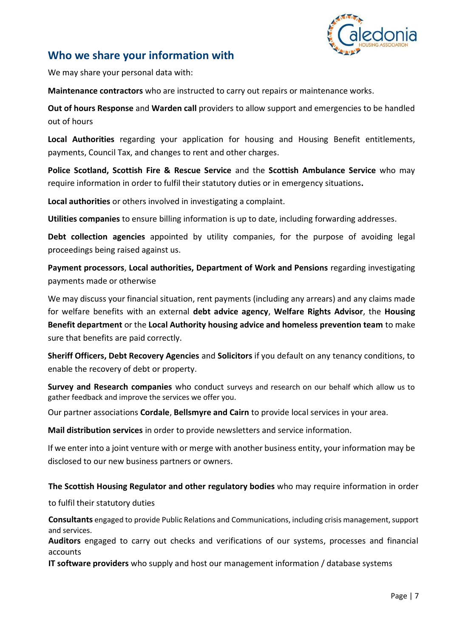

# **Who we share your information with**

We may share your personal data with:

**Maintenance contractors** who are instructed to carry out repairs or maintenance works.

**Out of hours Response** and **Warden call** providers to allow support and emergencies to be handled out of hours

**Local Authorities** regarding your application for housing and Housing Benefit entitlements, payments, Council Tax, and changes to rent and other charges.

**Police Scotland, Scottish Fire & Rescue Service** and the **Scottish Ambulance Service** who may require information in order to fulfil their statutory duties or in emergency situations**.**

**Local authorities** or others involved in investigating a complaint.

**Utilities companies** to ensure billing information is up to date, including forwarding addresses.

**Debt collection agencies** appointed by utility companies, for the purpose of avoiding legal proceedings being raised against us.

**Payment processors**, **Local authorities, Department of Work and Pensions** regarding investigating payments made or otherwise

We may discuss your financial situation, rent payments (including any arrears) and any claims made for welfare benefits with an external **debt advice agency**, **Welfare Rights Advisor**, the **Housing Benefit department** or the **Local Authority housing advice and homeless prevention team** to make sure that benefits are paid correctly.

**Sheriff Officers, Debt Recovery Agencies** and **Solicitors** if you default on any tenancy conditions, to enable the recovery of debt or property.

**Survey and Research companies** who conduct surveys and research on our behalf which allow us to gather feedback and improve the services we offer you.

Our partner associations **Cordale**, **Bellsmyre and Cairn** to provide local services in your area.

**Mail distribution services** in order to provide newsletters and service information.

If we enter into a joint venture with or merge with another business entity, your information may be disclosed to our new business partners or owners.

**The Scottish Housing Regulator and other regulatory bodies** who may require information in order

to fulfil their statutory duties

**Consultants** engaged to provide Public Relations and Communications, including crisis management, support and services.

**Auditors** engaged to carry out checks and verifications of our systems, processes and financial accounts

**IT software providers** who supply and host our management information / database systems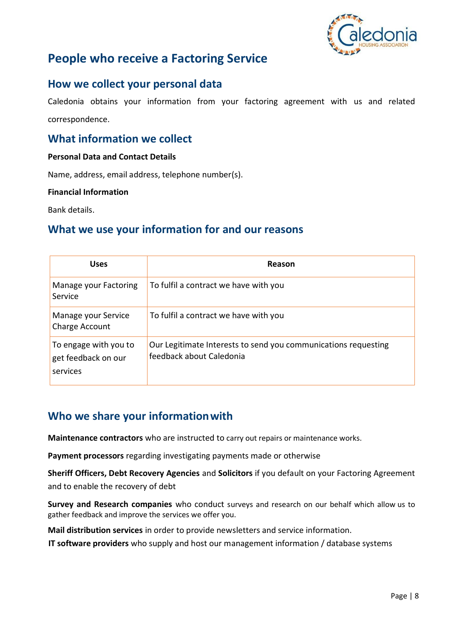

# **People who receive a Factoring Service**

## **How we collect your personal data**

Caledonia obtains your information from your factoring agreement with us and related correspondence.

## **What information we collect**

### **Personal Data and Contact Details**

Name, address, email address, telephone number(s).

#### **Financial Information**

Bank details.

# **What we use your information for and our reasons**

| <b>Uses</b>                                              | Reason                                                                                     |
|----------------------------------------------------------|--------------------------------------------------------------------------------------------|
| Manage your Factoring<br>Service                         | To fulfil a contract we have with you                                                      |
| Manage your Service<br>Charge Account                    | To fulfil a contract we have with you                                                      |
| To engage with you to<br>get feedback on our<br>services | Our Legitimate Interests to send you communications requesting<br>feedback about Caledonia |

# **Who we share your informationwith**

**Maintenance contractors** who are instructed to carry out repairs or maintenance works.

**Payment processors** regarding investigating payments made or otherwise

**Sheriff Officers, Debt Recovery Agencies** and **Solicitors** if you default on your Factoring Agreement and to enable the recovery of debt

**Survey and Research companies** who conduct surveys and research on our behalf which allow us to gather feedback and improve the services we offer you.

**Mail distribution services** in order to provide newsletters and service information.

**IT software providers** who supply and host our management information / database systems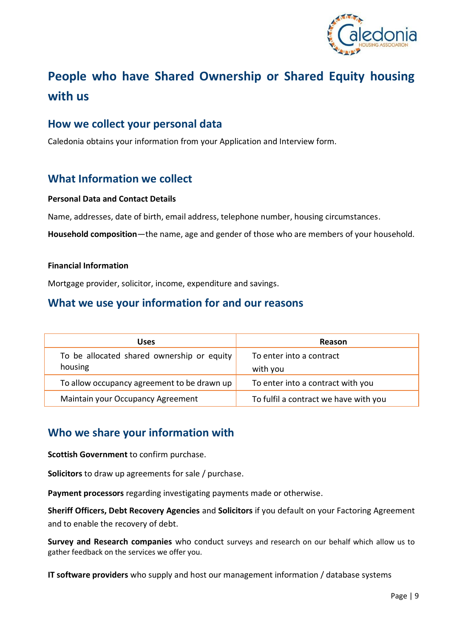

# **People who have Shared Ownership or Shared Equity housing with us**

## **How we collect your personal data**

Caledonia obtains your information from your Application and Interview form.

# **What Information we collect**

### **Personal Data and Contact Details**

Name, addresses, date of birth, email address, telephone number, housing circumstances.

**Household composition**—the name, age and gender of those who are members of your household.

### **Financial Information**

Mortgage provider, solicitor, income, expenditure and savings.

## **What we use your information for and our reasons**

| <b>Uses</b>                                           | <b>Reason</b>                         |
|-------------------------------------------------------|---------------------------------------|
| To be allocated shared ownership or equity<br>housing | To enter into a contract<br>with you  |
| To allow occupancy agreement to be drawn up           | To enter into a contract with you     |
| Maintain your Occupancy Agreement                     | To fulfil a contract we have with you |

# **Who we share your information with**

**Scottish Government** to confirm purchase.

**Solicitors** to draw up agreements for sale / purchase.

**Payment processors** regarding investigating payments made or otherwise.

**Sheriff Officers, Debt Recovery Agencies** and **Solicitors** if you default on your Factoring Agreement and to enable the recovery of debt.

**Survey and Research companies** who conduct surveys and research on our behalf which allow us to gather feedback on the services we offer you.

**IT software providers** who supply and host our management information / database systems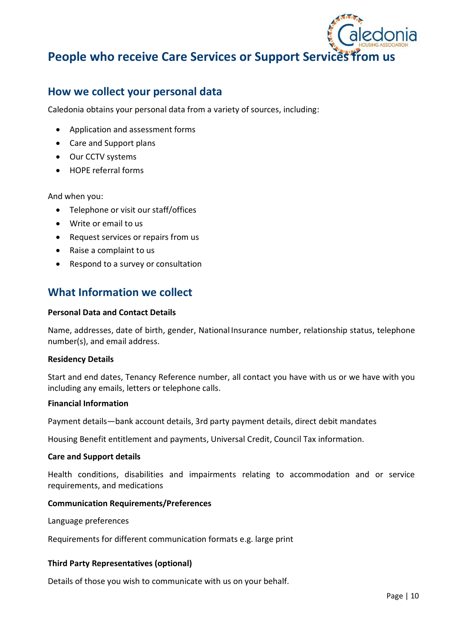

# **People who receive Care Services or Support Services from us**

# **How we collect your personal data**

Caledonia obtains your personal data from a variety of sources, including:

- Application and assessment forms
- Care and Support plans
- Our CCTV systems
- HOPE referral forms

### And when you:

- Telephone or visit our staff/offices
- Write or email to us
- Request services or repairs from us
- Raise a complaint to us
- Respond to a survey or consultation

# **What Information we collect**

### **Personal Data and Contact Details**

Name, addresses, date of birth, gender, National Insurance number, relationship status, telephone number(s), and email address.

### **Residency Details**

Start and end dates, Tenancy Reference number, all contact you have with us or we have with you including any emails, letters or telephone calls.

#### **Financial Information**

Payment details—bank account details, 3rd party payment details, direct debit mandates

Housing Benefit entitlement and payments, Universal Credit, Council Tax information.

#### **Care and Support details**

Health conditions, disabilities and impairments relating to accommodation and or service requirements, and medications

### **Communication Requirements/Preferences**

Language preferences

Requirements for different communication formats e.g. large print

### **Third Party Representatives (optional)**

Details of those you wish to communicate with us on your behalf.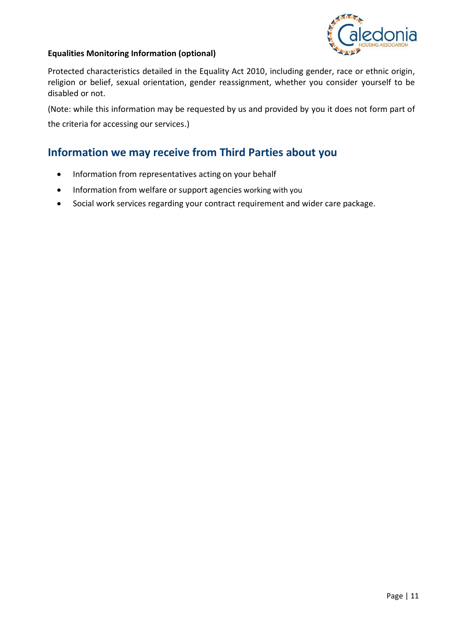

## **Equalities Monitoring Information (optional)**

Protected characteristics detailed in the Equality Act 2010, including gender, race or ethnic origin, religion or belief, sexual orientation, gender reassignment, whether you consider yourself to be disabled or not.

(Note: while this information may be requested by us and provided by you it does not form part of

the criteria for accessing our services.)

# **Information we may receive from Third Parties about you**

- Information from representatives acting on your behalf
- Information from welfare or support agencies working with you
- Social work services regarding your contract requirement and wider care package.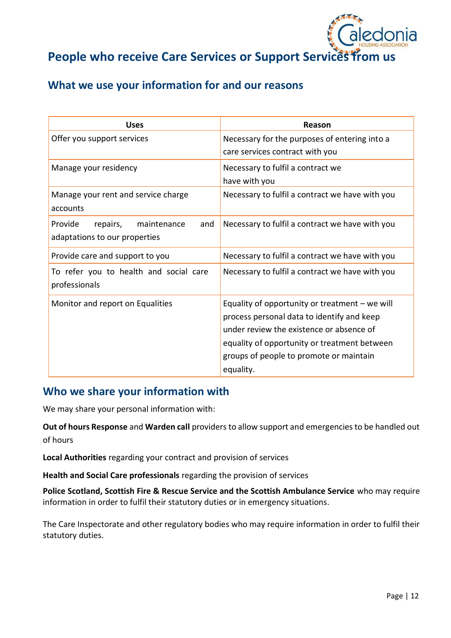

# **People who receive Care Services or Support Services from us**

# **What we use your information for and our reasons**

| <b>Uses</b>                                                                | Reason                                                                                                                                                                                                                                             |
|----------------------------------------------------------------------------|----------------------------------------------------------------------------------------------------------------------------------------------------------------------------------------------------------------------------------------------------|
| Offer you support services                                                 | Necessary for the purposes of entering into a<br>care services contract with you                                                                                                                                                                   |
| Manage your residency                                                      | Necessary to fulfil a contract we<br>have with you                                                                                                                                                                                                 |
| Manage your rent and service charge<br>accounts                            | Necessary to fulfil a contract we have with you                                                                                                                                                                                                    |
| Provide<br>and<br>repairs,<br>maintenance<br>adaptations to our properties | Necessary to fulfil a contract we have with you                                                                                                                                                                                                    |
| Provide care and support to you                                            | Necessary to fulfil a contract we have with you                                                                                                                                                                                                    |
| To refer you to health and social care<br>professionals                    | Necessary to fulfil a contract we have with you                                                                                                                                                                                                    |
| Monitor and report on Equalities                                           | Equality of opportunity or treatment $-$ we will<br>process personal data to identify and keep<br>under review the existence or absence of<br>equality of opportunity or treatment between<br>groups of people to promote or maintain<br>equality. |

## **Who we share your information with**

We may share your personal information with:

**Out of hours Response** and **Warden call** providers to allow support and emergencies to be handled out of hours

**Local Authorities** regarding your contract and provision of services

**Health and Social Care professionals** regarding the provision of services

**Police Scotland, Scottish Fire & Rescue Service and the Scottish Ambulance Service** who may require information in order to fulfil their statutory duties or in emergency situations.

The Care Inspectorate and other regulatory bodies who may require information in order to fulfil their statutory duties.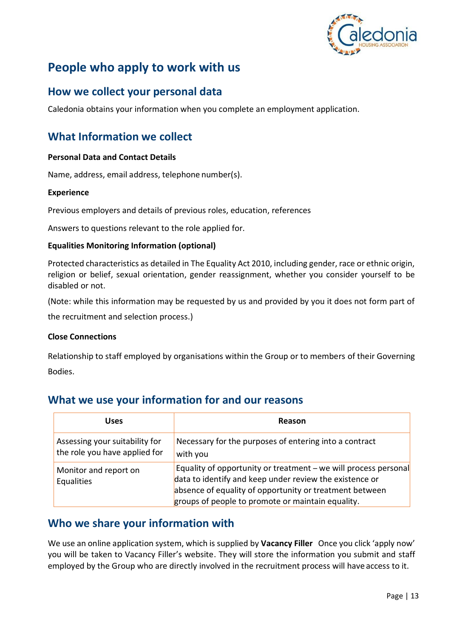

# **People who apply to work with us**

# **How we collect your personal data**

Caledonia obtains your information when you complete an employment application.

# **What Information we collect**

## **Personal Data and Contact Details**

Name, address, email address, telephone number(s).

### **Experience**

Previous employers and details of previous roles, education, references

Answers to questions relevant to the role applied for.

### **Equalities Monitoring Information (optional)**

Protected characteristics as detailed in The Equality Act 2010, including gender, race or ethnic origin, religion or belief, sexual orientation, gender reassignment, whether you consider yourself to be disabled or not.

(Note: while this information may be requested by us and provided by you it does not form part of

the recruitment and selection process.)

### **Close Connections**

Relationship to staff employed by organisations within the Group or to members of their Governing Bodies.

## **What we use your information for and our reasons**

| <b>Uses</b>                                                     | Reason                                                                                                                                                                                                                                     |
|-----------------------------------------------------------------|--------------------------------------------------------------------------------------------------------------------------------------------------------------------------------------------------------------------------------------------|
| Assessing your suitability for<br>the role you have applied for | Necessary for the purposes of entering into a contract<br>with you                                                                                                                                                                         |
| Monitor and report on<br>Equalities                             | Equality of opportunity or treatment – we will process personal<br>data to identify and keep under review the existence or<br>absence of equality of opportunity or treatment between<br>groups of people to promote or maintain equality. |

## **Who we share your information with**

We use an online application system, which is supplied by **Vacancy Filler** Once you click 'apply now' you will be taken to Vacancy Filler's website. They will store the information you submit and staff employed by the Group who are directly involved in the recruitment process will have access to it.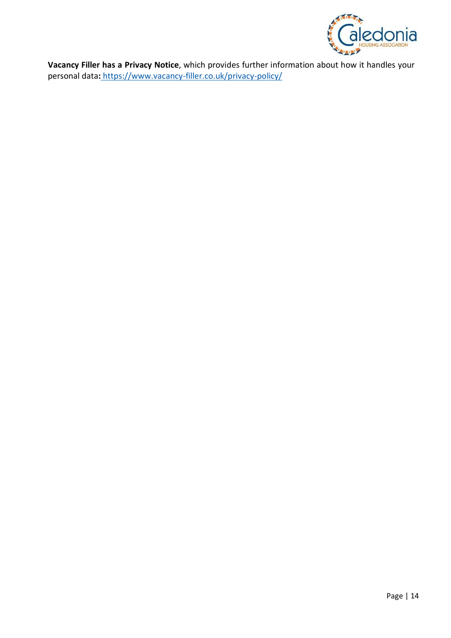

**Vacancy Filler has a Privacy Notice**, which provides further information about how it handles your personal data**:** <https://www.vacancy-filler.co.uk/privacy-policy/>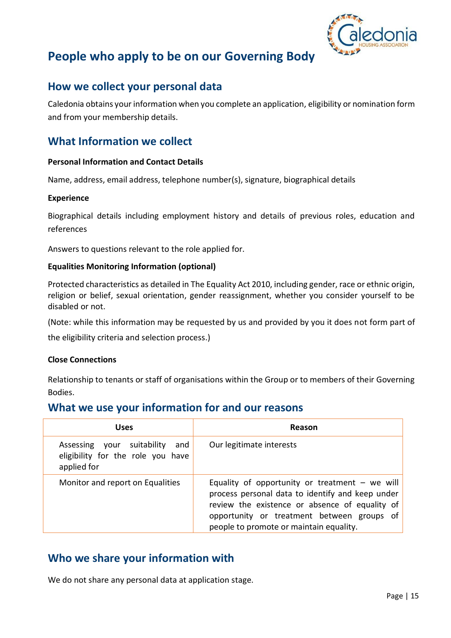

# **People who apply to be on our Governing Body**

# **How we collect your personal data**

Caledonia obtains your information when you complete an application, eligibility or nomination form and from your membership details.

# **What Information we collect**

## **Personal Information and Contact Details**

Name, address, email address, telephone number(s), signature, biographical details

### **Experience**

Biographical details including employment history and details of previous roles, education and references

Answers to questions relevant to the role applied for.

### **Equalities Monitoring Information (optional)**

Protected characteristics as detailed in The Equality Act 2010, including gender, race or ethnic origin, religion or belief, sexual orientation, gender reassignment, whether you consider yourself to be disabled or not.

(Note: while this information may be requested by us and provided by you it does not form part of

the eligibility criteria and selection process.)

### **Close Connections**

Relationship to tenants or staff of organisations within the Group or to members of their Governing Bodies.

## **What we use your information for and our reasons**

| Uses                                                                                  | Reason                                                                                                                                                                                                                                        |
|---------------------------------------------------------------------------------------|-----------------------------------------------------------------------------------------------------------------------------------------------------------------------------------------------------------------------------------------------|
| Assessing your suitability<br>and<br>eligibility for the role you have<br>applied for | Our legitimate interests                                                                                                                                                                                                                      |
| Monitor and report on Equalities                                                      | Equality of opportunity or treatment – we will<br>process personal data to identify and keep under<br>review the existence or absence of equality of<br>opportunity or treatment between groups of<br>people to promote or maintain equality. |

# **Who we share your information with**

We do not share any personal data at application stage.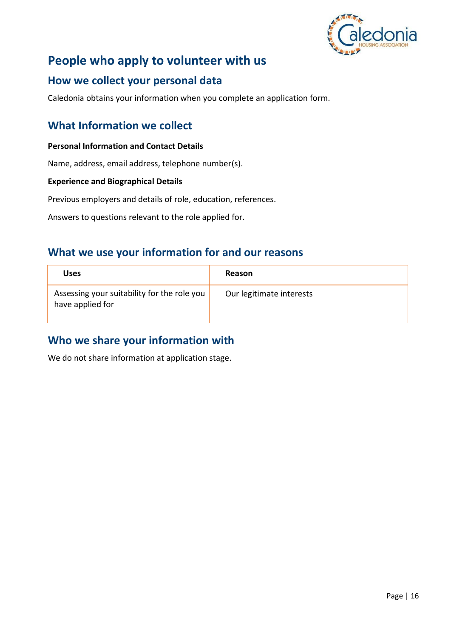

# **People who apply to volunteer with us**

# **How we collect your personal data**

Caledonia obtains your information when you complete an application form.

# **What Information we collect**

## **Personal Information and Contact Details**

Name, address, email address, telephone number(s).

### **Experience and Biographical Details**

Previous employers and details of role, education, references.

Answers to questions relevant to the role applied for.

# **What we use your information for and our reasons**

| <b>Uses</b>                                                     | Reason                   |
|-----------------------------------------------------------------|--------------------------|
| Assessing your suitability for the role you<br>have applied for | Our legitimate interests |

# **Who we share your information with**

We do not share information at application stage.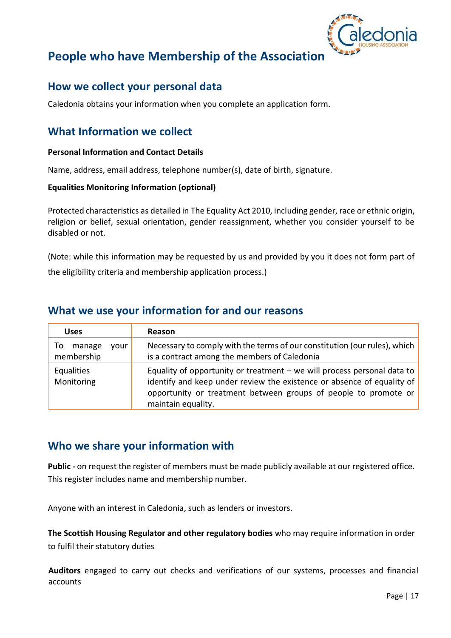

# **People who have Membership of the Association**

# **How we collect your personal data**

Caledonia obtains your information when you complete an application form.

# **What Information we collect**

### **Personal Information and Contact Details**

Name, address, email address, telephone number(s), date of birth, signature.

#### **Equalities Monitoring Information (optional)**

Protected characteristics as detailed in The Equality Act 2010, including gender, race or ethnic origin, religion or belief, sexual orientation, gender reassignment, whether you consider yourself to be disabled or not.

(Note: while this information may be requested by us and provided by you it does not form part of the eligibility criteria and membership application process.)

## **What we use your information for and our reasons**

| <b>Uses</b>                        | <b>Reason</b>                                                                                                                                                                                                                                |
|------------------------------------|----------------------------------------------------------------------------------------------------------------------------------------------------------------------------------------------------------------------------------------------|
| To<br>manage<br>vour<br>membership | Necessary to comply with the terms of our constitution (our rules), which<br>is a contract among the members of Caledonia                                                                                                                    |
| Equalities<br>Monitoring           | Equality of opportunity or treatment $-$ we will process personal data to<br>identify and keep under review the existence or absence of equality of<br>opportunity or treatment between groups of people to promote or<br>maintain equality. |

## **Who we share your information with**

**Public -** on request the register of members must be made publicly available at our registered office. This register includes name and membership number.

Anyone with an interest in Caledonia, such as lenders or investors.

**The Scottish Housing Regulator and other regulatory bodies** who may require information in order to fulfil their statutory duties

**Auditors** engaged to carry out checks and verifications of our systems, processes and financial accounts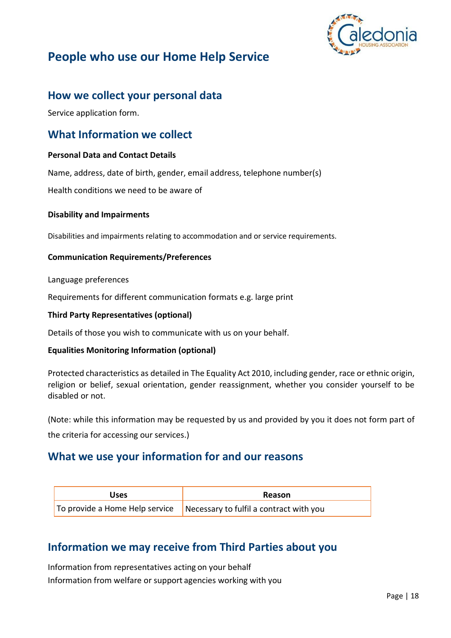

# **People who use our Home Help Service**

# **How we collect your personal data**

Service application form.

## **What Information we collect**

## **Personal Data and Contact Details**

Name, address, date of birth, gender, email address, telephone number(s)

Health conditions we need to be aware of

### **Disability and Impairments**

Disabilities and impairments relating to accommodation and or service requirements.

## **Communication Requirements/Preferences**

Language preferences

Requirements for different communication formats e.g. large print

### **Third Party Representatives (optional)**

Details of those you wish to communicate with us on your behalf.

### **Equalities Monitoring Information (optional)**

Protected characteristics as detailed in The Equality Act 2010, including gender, race or ethnic origin, religion or belief, sexual orientation, gender reassignment, whether you consider yourself to be disabled or not.

(Note: while this information may be requested by us and provided by you it does not form part of

the criteria for accessing our services.)

# **What we use your information for and our reasons**

| <b>Uses</b> | Reason                                                                                 |
|-------------|----------------------------------------------------------------------------------------|
|             | $\vert$ To provide a Home Help service $\vert$ Necessary to fulfil a contract with you |

# **Information we may receive from Third Parties about you**

Information from representatives acting on your behalf Information from welfare or support agencies working with you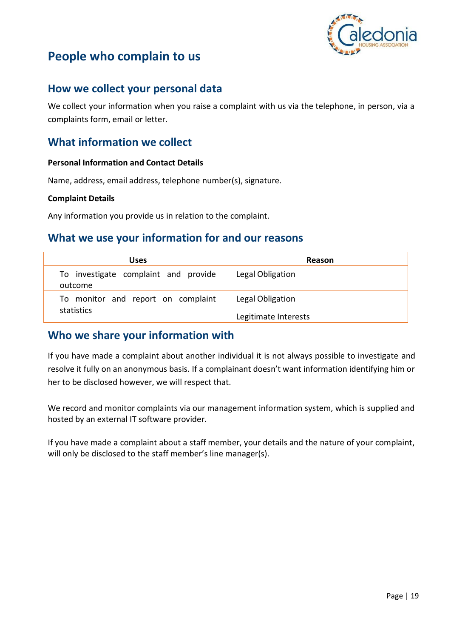

# **People who complain to us**

# **How we collect your personal data**

We collect your information when you raise a complaint with us via the telephone, in person, via a complaints form, email or letter.

# **What information we collect**

## **Personal Information and Contact Details**

Name, address, email address, telephone number(s), signature.

### **Complaint Details**

Any information you provide us in relation to the complaint.

## **What we use your information for and our reasons**

| Uses                                             | Reason                                   |
|--------------------------------------------------|------------------------------------------|
| To investigate complaint and provide<br>outcome  | Legal Obligation                         |
| To monitor and report on complaint<br>statistics | Legal Obligation<br>Legitimate Interests |

## **Who we share your information with**

If you have made a complaint about another individual it is not always possible to investigate and resolve it fully on an anonymous basis. If a complainant doesn't want information identifying him or her to be disclosed however, we will respect that.

We record and monitor complaints via our management information system, which is supplied and hosted by an external IT software provider.

If you have made a complaint about a staff member, your details and the nature of your complaint, will only be disclosed to the staff member's line manager(s).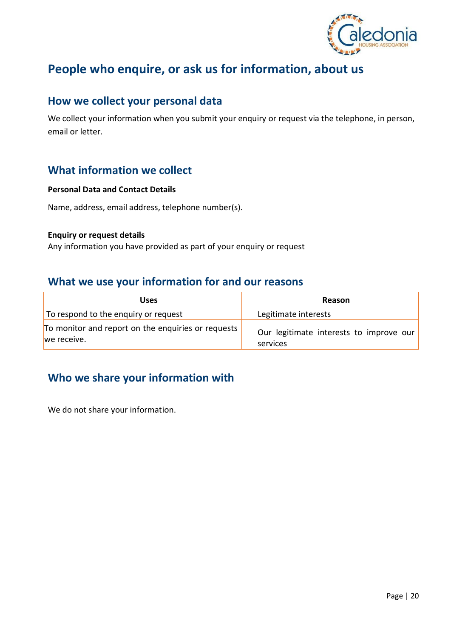

# **People who enquire, or ask us for information, about us**

## **How we collect your personal data**

We collect your information when you submit your enquiry or request via the telephone, in person, email or letter.

# **What information we collect**

### **Personal Data and Contact Details**

Name, address, email address, telephone number(s).

#### **Enquiry or request details**

Any information you have provided as part of your enquiry or request

## **What we use your information for and our reasons**

| Uses                                                              | Reason                                              |
|-------------------------------------------------------------------|-----------------------------------------------------|
| To respond to the enquiry or request                              | Legitimate interests                                |
| To monitor and report on the enquiries or requests<br>we receive. | Our legitimate interests to improve our<br>services |

# **Who we share your information with**

We do not share your information.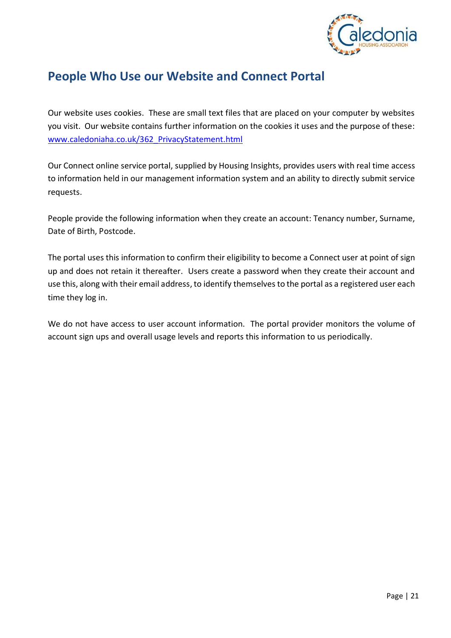

# **People Who Use our Website and Connect Portal**

Our website uses cookies. These are small text files that are placed on your computer by websites you visit. Our website contains further information on the cookies it uses and the purpose of these: [www.caledoniaha.co.uk/362\\_PrivacyStatement.html](http://www.caledoniaha.co.uk/362_PrivacyStatement.html) 

Our Connect online service portal, supplied by Housing Insights, provides users with real time access to information held in our management information system and an ability to directly submit service requests.

People provide the following information when they create an account: Tenancy number, Surname, Date of Birth, Postcode.

The portal uses this information to confirm their eligibility to become a Connect user at point of sign up and does not retain it thereafter. Users create a password when they create their account and use this, along with their email address, to identify themselves to the portal as a registered user each time they log in.

We do not have access to user account information. The portal provider monitors the volume of account sign ups and overall usage levels and reports this information to us periodically.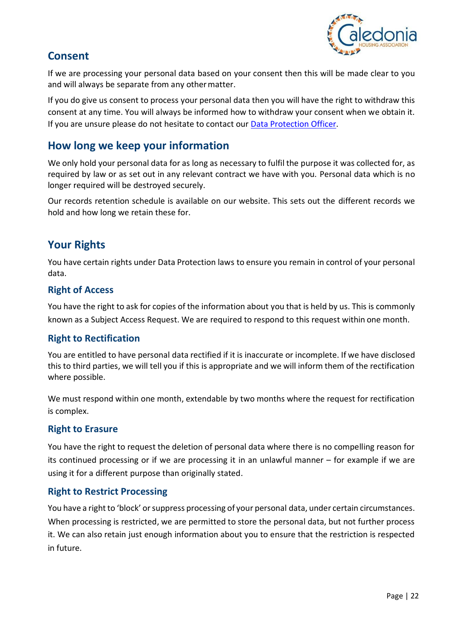

# **Consent**

If we are processing your personal data based on your consent then this will be made clear to you and will always be separate from any othermatter.

If you do give us consent to process your personal data then you will have the right to withdraw this consent at any time. You will always be informed how to withdraw your consent when we obtain it. If you are unsure please do not hesitate to contact our [Data Protection Officer.](mailto:CaledoniaDPO@caledoniaha.co.uk)

# **How long we keep your information**

We only hold your personal data for as long as necessary to fulfil the purpose it was collected for, as required by law or as set out in any relevant contract we have with you. Personal data which is no longer required will be destroyed securely.

Our records retention schedule is available on our website. This sets out the different records we hold and how long we retain these for.

# **Your Rights**

You have certain rights under Data Protection laws to ensure you remain in control of your personal data.

## **Right of Access**

You have the right to ask for copies of the information about you that is held by us. This is commonly known as a Subject Access Request. We are required to respond to this request within one month.

## **Right to Rectification**

You are entitled to have personal data rectified if it is inaccurate or incomplete. If we have disclosed this to third parties, we will tell you if this is appropriate and we will inform them of the rectification where possible.

We must respond within one month, extendable by two months where the request for rectification is complex.

## **Right to Erasure**

You have the right to request the deletion of personal data where there is no compelling reason for its continued processing or if we are processing it in an unlawful manner – for example if we are using it for a different purpose than originally stated.

## **Right to Restrict Processing**

You have a right to 'block' or suppress processing of your personal data, under certain circumstances. When processing is restricted, we are permitted to store the personal data, but not further process it. We can also retain just enough information about you to ensure that the restriction is respected in future.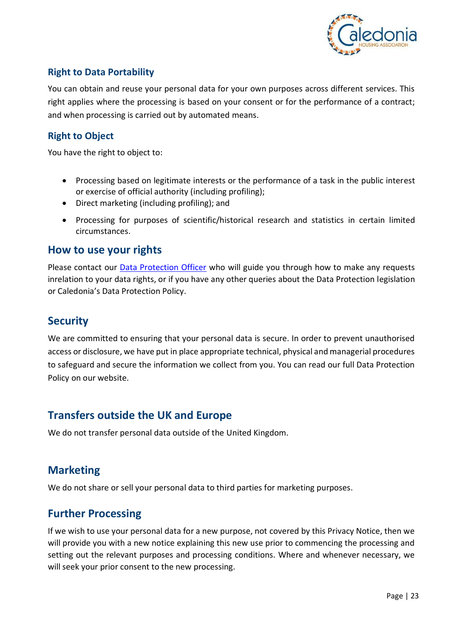

## **Right to Data Portability**

You can obtain and reuse your personal data for your own purposes across different services. This right applies where the processing is based on your consent or for the performance of a contract; and when processing is carried out by automated means.

## **Right to Object**

You have the right to object to:

- Processing based on legitimate interests or the performance of a task in the public interest or exercise of official authority (including profiling);
- Direct marketing (including profiling); and
- Processing for purposes of scientific/historical research and statistics in certain limited circumstances.

## **How to use your rights**

Please contact our [Data Protection Officer](mailto:CaledoniaDPO@caledoniaha.co.uk) who will guide you through how to make any requests inrelation to your data rights, or if you have any other queries about the Data Protection legislation or Caledonia's Data Protection Policy.

# **Security**

We are committed to ensuring that your personal data is secure. In order to prevent unauthorised access or disclosure, we have put in place appropriate technical, physical and managerial procedures to safeguard and secure the information we collect from you. You can read our full Data Protection Policy on our website.

# **Transfers outside the UK and Europe**

We do not transfer personal data outside of the United Kingdom.

# **Marketing**

We do not share or sell your personal data to third parties for marketing purposes.

# **Further Processing**

If we wish to use your personal data for a new purpose, not covered by this Privacy Notice, then we will provide you with a new notice explaining this new use prior to commencing the processing and setting out the relevant purposes and processing conditions. Where and whenever necessary, we will seek your prior consent to the new processing.